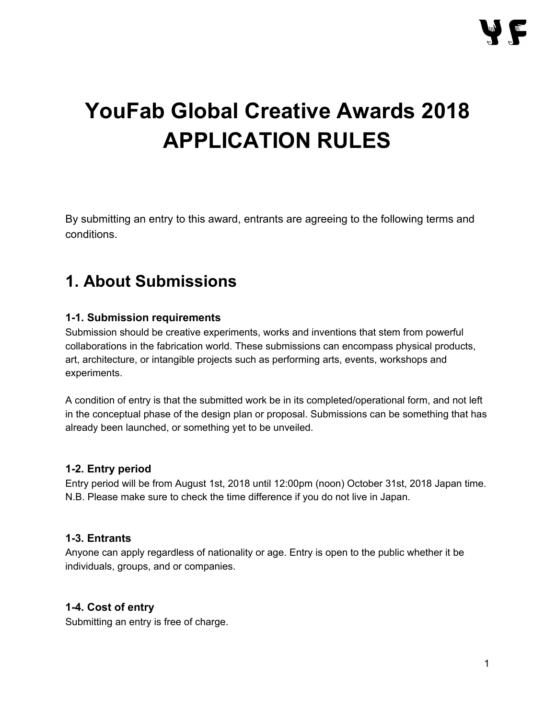# **YouFab Global Creative Awards 2018 APPLICATION RULES**

By submitting an entry to this award, entrants are agreeing to the following terms and conditions.

# **1. About Submissions**

### **1-1. Submission requirements**

Submission should be creative experiments, works and inventions that stem from powerful collaborations in the fabrication world. These submissions can encompass physical products, art, architecture, or intangible projects such as performing arts, events, workshops and experiments.

A condition of entry is that the submitted work be in its completed/operational form, and not left in the conceptual phase of the design plan or proposal. Submissions can be something that has already been launched, or something yet to be unveiled.

### **1-2. Entry period**

Entry period will be from August 1st, 2018 until 12:00pm (noon) October 31st, 2018 Japan time. N.B. Please make sure to check the time difference if you do not live in Japan.

#### **1-3. Entrants**

Anyone can apply regardless of nationality or age. Entry is open to the public whether it be individuals, groups, and or companies.

### **1-4. Cost of entry**

Submitting an entry is free of charge.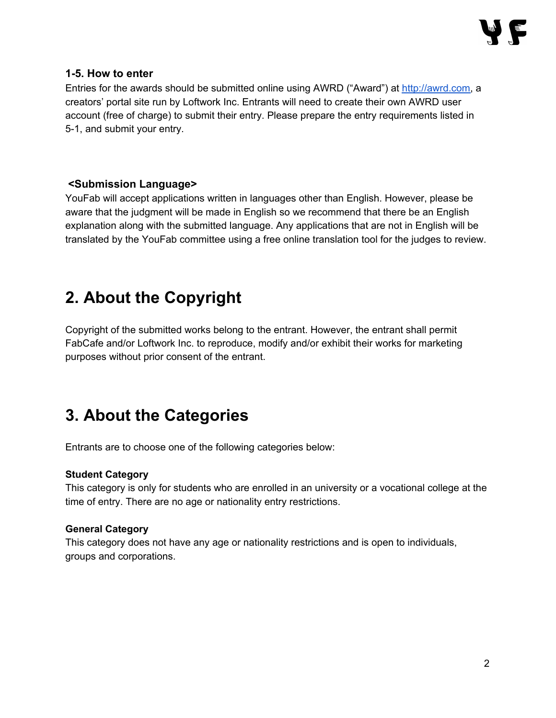#### **1-5. How to enter**

Entries for the awards should be submitted online using AWRD ("Award") at [http://awrd.com,](http://awrd.com/) a creators' portal site run by Loftwork Inc. Entrants will need to create their own AWRD user account (free of charge) to submit their entry. Please prepare the entry requirements listed in 5-1, and submit your entry.

### **<Submission Language>**

YouFab will accept applications written in languages other than English. However, please be aware that the judgment will be made in English so we recommend that there be an English explanation along with the submitted language. Any applications that are not in English will be translated by the YouFab committee using a free online translation tool for the judges to review.

# **2. About the Copyright**

Copyright of the submitted works belong to the entrant. However, the entrant shall permit FabCafe and/or Loftwork Inc. to reproduce, modify and/or exhibit their works for marketing purposes without prior consent of the entrant.

# **3. About the Categories**

Entrants are to choose one of the following categories below:

#### **Student Category**

This category is only for students who are enrolled in an university or a vocational college at the time of entry. There are no age or nationality entry restrictions.

#### **GeneralCategory**

This category does not have any age or nationality restrictions and is open to individuals, groups and corporations.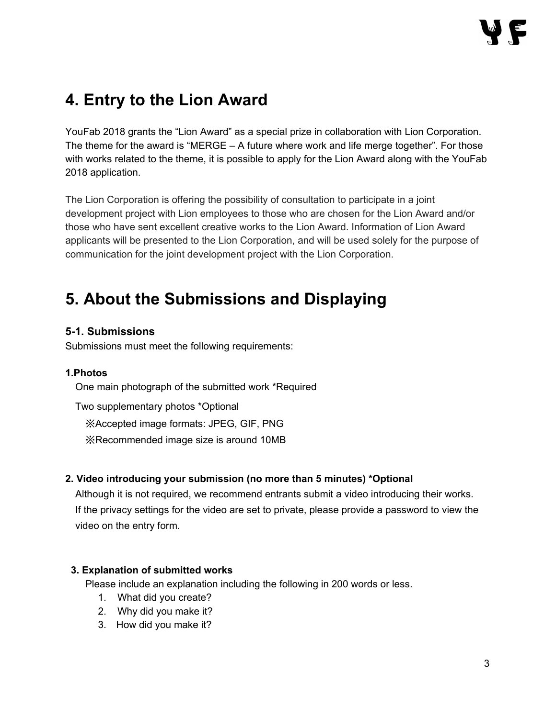# **4. Entry to the Lion Award**

YouFab 2018 grants the "Lion Award" as a special prize in collaboration with Lion Corporation. The theme for the award is "MERGE  $- A$  future where work and life merge together". For those with works related to the theme, it is possible to apply for the Lion Award along with the YouFab 2018 application.

The Lion Corporation is offering the possibility of consultation to participate in a joint development project with Lion employees to those who are chosen for the Lion Award and/or those who have sent excellent creative works to the Lion Award. Information of Lion Award applicants will be presented to the Lion Corporation, and will be used solely for the purpose of communication for the joint development project with the Lion Corporation.

# **5. About the Submissions and Displaying**

### **5-1. Submissions**

Submissions must meet the following requirements:

#### **1.Photos**

One main photograph of the submitted work \*Required

Two supplementary photos \*Optional ※Accepted image formats: JPEG, GIF, PNG ※Recommended image size is around 10MB

#### **2. Video introducing your submission (no more than 5 minutes) \*Optional**

Although it is not required, we recommend entrants submit a video introducing their works. If the privacy settings for the video are set to private, please provide a password to view the video on the entry form.

#### **3. Explanation of submitted works**

Please include an explanation including the following in 200 words or less.

- 1. What did you create?
- 2. Why did you make it?
- 3. How did you make it?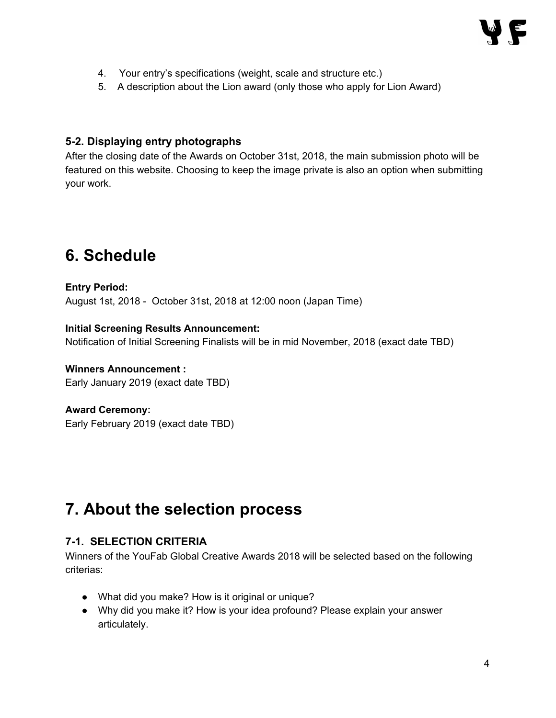- 4. Your entry's specifications (weight, scale and structure etc.)
- 5. A description about the Lion award (only those who apply for Lion Award)

#### **5-2. Displaying entry photographs**

After the closing date of the Awards on October 31st, 2018, the main submission photo will be featured on this website. Choosing to keep the image private is also an option when submitting your work.

# **6. Schedule**

## **Entry Period:** August 1st, 2018 - October 31st, 2018 at 12:00 noon (Japan Time)

#### **Initial Screening Results Announcement:**

Notification of Initial Screening Finalists will be in mid November, 2018 (exact date TBD)

#### **Winners Announcement :**

Early January 2019 (exact date TBD)

#### **Award Ceremony:**

Early February 2019 (exact date TBD)

# **7. About the selection process**

#### **7-1. SELECTION CRITERIA**

Winners of the YouFab Global Creative Awards 2018 will be selected based on the following criterias:

- What did you make? How is it original or unique?
- Why did you make it? How is your idea profound? Please explain your answer articulately.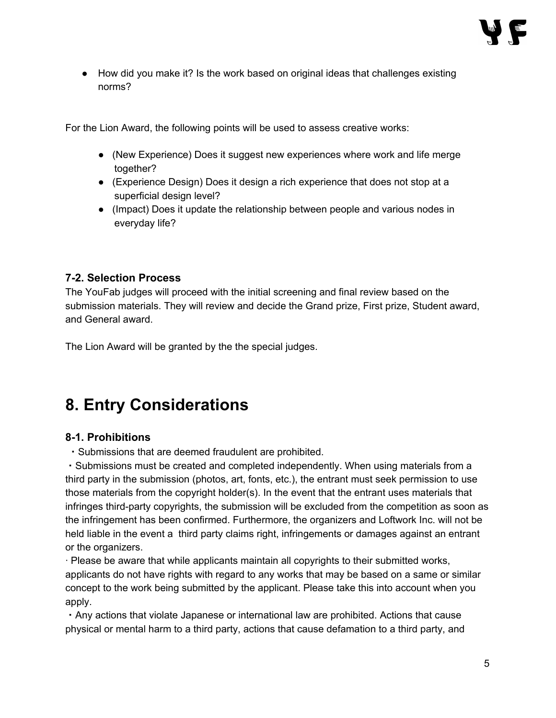● How did you make it? Is the work based on original ideas that challenges existing norms?

For the Lion Award, the following points will be used to assess creative works:

- (New Experience) Does it suggest new experiences where work and life merge together?
- (Experience Design) Does it design a rich experience that does not stop at a superficial design level?
- (Impact) Does it update the relationship between people and various nodes in everyday life?

### **7-2. Selection Process**

The YouFab judges will proceed with the initial screening and final review based on the submission materials. They will review and decide the Grand prize, First prize, Student award, and General award.

The Lion Award will be granted by the the special judges.

# **8. Entry Considerations**

### **8-1. Prohibitions**

・Submissions that are deemed fraudulent are prohibited.

・Submissions must be created and completed independently. When using materials from a third party in the submission (photos, art, fonts, etc.), the entrant must seek permission to use those materials from the copyright holder(s). In the event that the entrant uses materials that infringes third-party copyrights, the submission will be excluded from the competition as soon as the infringement has been confirmed. Furthermore, the organizers and Loftwork Inc. will not be held liable in the event a third party claims right, infringements or damages against an entrant or the organizers.

· Please be aware that while applicants maintain all copyrights to their submitted works, applicants do not have rights with regard to any works that may be based on a same or similar concept to the work being submitted by the applicant. Please take this into account when you apply.

・Any actions that violate Japanese or international law are prohibited. Actions that cause physical or mental harm to a third party, actions that cause defamation to a third party, and